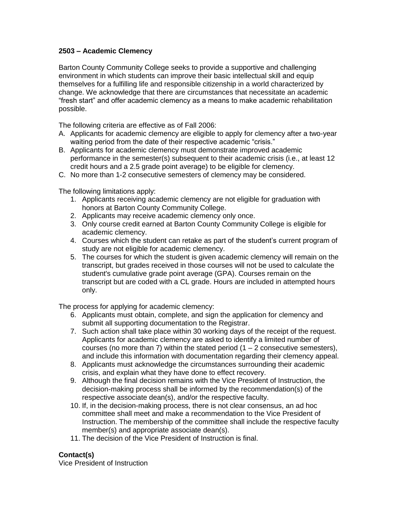## **2503 – Academic Clemency**

Barton County Community College seeks to provide a supportive and challenging environment in which students can improve their basic intellectual skill and equip themselves for a fulfilling life and responsible citizenship in a world characterized by change. We acknowledge that there are circumstances that necessitate an academic "fresh start" and offer academic clemency as a means to make academic rehabilitation possible.

The following criteria are effective as of Fall 2006:

- A. Applicants for academic clemency are eligible to apply for clemency after a two-year waiting period from the date of their respective academic "crisis."
- B. Applicants for academic clemency must demonstrate improved academic performance in the semester(s) subsequent to their academic crisis (i.e., at least 12 credit hours and a 2.5 grade point average) to be eligible for clemency.
- C. No more than 1-2 consecutive semesters of clemency may be considered.

The following limitations apply:

- 1. Applicants receiving academic clemency are not eligible for graduation with honors at Barton County Community College.
- 2. Applicants may receive academic clemency only once.
- 3. Only course credit earned at Barton County Community College is eligible for academic clemency.
- 4. Courses which the student can retake as part of the student's current program of study are not eligible for academic clemency.
- 5. The courses for which the student is given academic clemency will remain on the transcript, but grades received in those courses will not be used to calculate the student's cumulative grade point average (GPA). Courses remain on the transcript but are coded with a CL grade. Hours are included in attempted hours only.

The process for applying for academic clemency:

- 6. Applicants must obtain, complete, and sign the application for clemency and submit all supporting documentation to the Registrar.
- 7. Such action shall take place within 30 working days of the receipt of the request. Applicants for academic clemency are asked to identify a limited number of courses (no more than 7) within the stated period  $(1 - 2$  consecutive semesters), and include this information with documentation regarding their clemency appeal.
- 8. Applicants must acknowledge the circumstances surrounding their academic crisis, and explain what they have done to effect recovery.
- 9. Although the final decision remains with the Vice President of Instruction, the decision-making process shall be informed by the recommendation(s) of the respective associate dean(s), and/or the respective faculty.
- 10. If, in the decision-making process, there is not clear consensus, an ad hoc committee shall meet and make a recommendation to the Vice President of Instruction. The membership of the committee shall include the respective faculty member(s) and appropriate associate dean(s).
- 11. The decision of the Vice President of Instruction is final.

## **Contact(s)**

Vice President of Instruction